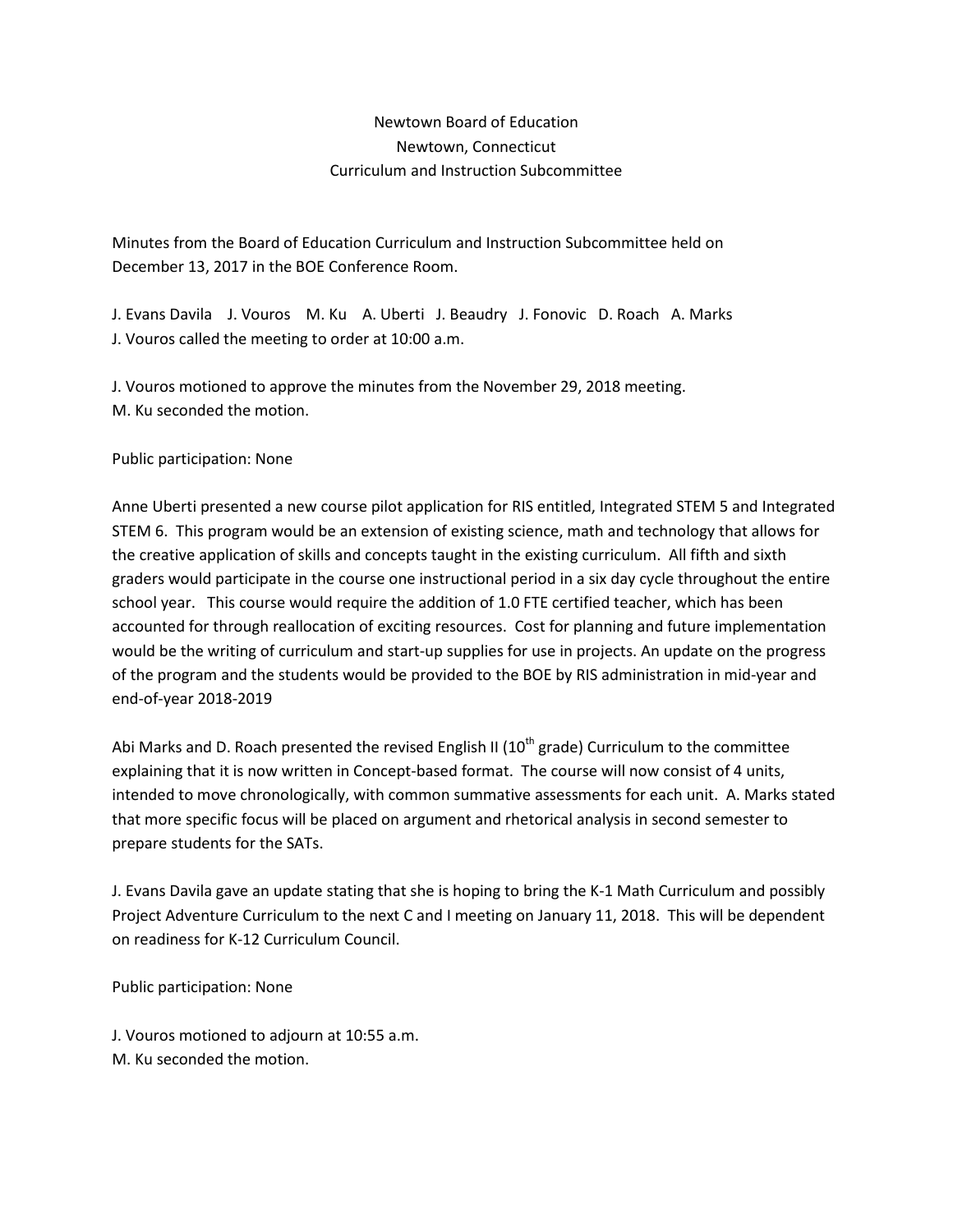## Newtown Board of Education Newtown, Connecticut Curriculum and Instruction Subcommittee

Minutes from the Board of Education Curriculum and Instruction Subcommittee held on December 13, 2017 in the BOE Conference Room.

J. Evans Davila J. Vouros M. Ku A. Uberti J. Beaudry J. Fonovic D. Roach A. Marks J. Vouros called the meeting to order at 10:00 a.m.

J. Vouros motioned to approve the minutes from the November 29, 2018 meeting. M. Ku seconded the motion.

Public participation: None

Anne Uberti presented a new course pilot application for RIS entitled, Integrated STEM 5 and Integrated STEM 6. This program would be an extension of existing science, math and technology that allows for the creative application of skills and concepts taught in the existing curriculum. All fifth and sixth graders would participate in the course one instructional period in a six day cycle throughout the entire school year. This course would require the addition of 1.0 FTE certified teacher, which has been accounted for through reallocation of exciting resources. Cost for planning and future implementation would be the writing of curriculum and start-up supplies for use in projects. An update on the progress of the program and the students would be provided to the BOE by RIS administration in mid-year and end-of-year 2018-2019

Abi Marks and D. Roach presented the revised English II ( $10<sup>th</sup>$  grade) Curriculum to the committee explaining that it is now written in Concept-based format. The course will now consist of 4 units, intended to move chronologically, with common summative assessments for each unit. A. Marks stated that more specific focus will be placed on argument and rhetorical analysis in second semester to prepare students for the SATs.

J. Evans Davila gave an update stating that she is hoping to bring the K-1 Math Curriculum and possibly Project Adventure Curriculum to the next C and I meeting on January 11, 2018. This will be dependent on readiness for K-12 Curriculum Council.

Public participation: None

J. Vouros motioned to adjourn at 10:55 a.m. M. Ku seconded the motion.